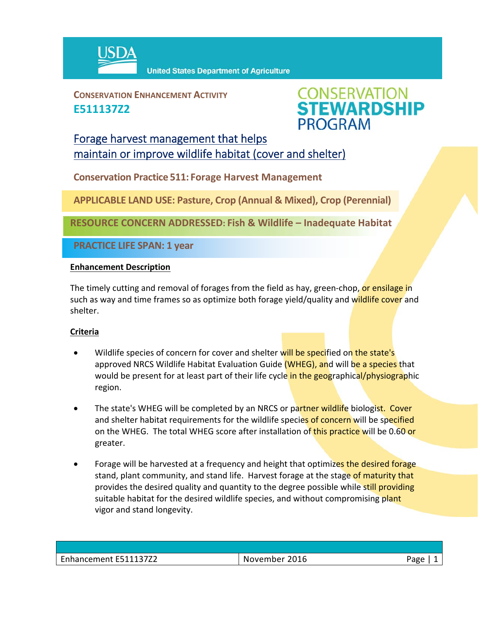

**CONSERVATION ENHANCEMENT ACTIVITY E511137Z2**



## Forage harvest management that helps maintain or improve wildlife habitat (cover and shelter)

**Conservation Practice 511: Forage Harvest Management**

**APPLICABLE LAND USE: Pasture, Crop (Annual & Mixed), Crop (Perennial)**

**RESOURCE CONCERN ADDRESSED: Fish & Wildlife – Inadequate Habitat** 

**PRACTICE LIFE SPAN: 1 year**

## **Enhancement Description**

The timely cutting and removal of forages from the field as hay, green-chop, or ensilage in such as way and time frames so as optimize both forage yield/quality and wildlife cover and shelter.

## **Criteria**

- Wildlife species of concern for cover and shelter will be specified on the state's approved NRCS Wildlife Habitat Evaluation Guide (WHEG), and will be a species that would be present for at least part of their life cycle in the geographical/physiographic region.
- The state's WHEG will be completed by an NRCS or partner wildlife biologist. Cover and shelter habitat requirements for the wildlife species of concern will be specified on the WHEG. The total WHEG score after installation of this practice will be 0.60 or greater.
- Forage will be harvested at a frequency and height that optimizes the desired forage stand, plant community, and stand life. Harvest forage at the stage of maturity that provides the desired quality and quantity to the degree possible while still providing suitable habitat for the desired wildlife species, and without compromising plant vigor and stand longevity.

| Enhancement E511137Z2 | November 2016 | Page |
|-----------------------|---------------|------|